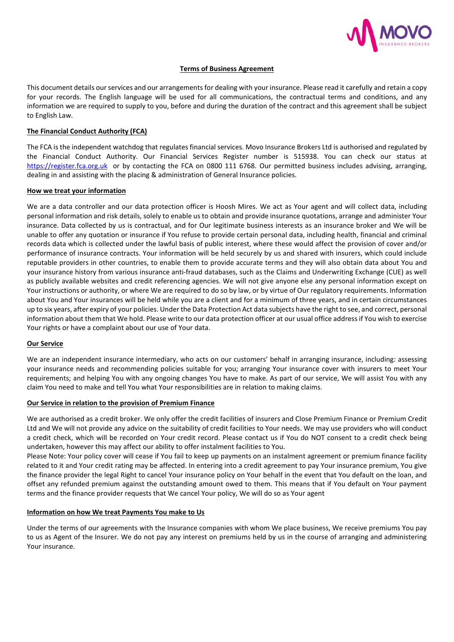

### **Terms of Business Agreement**

This document details our services and our arrangements for dealing with your insurance. Please read it carefully and retain a copy for your records. The English language will be used for all communications, the contractual terms and conditions, and any information we are required to supply to you, before and during the duration of the contract and this agreement shall be subject to English Law.

### **The Financial Conduct Authority (FCA)**

The FCA is the independent watchdog that regulates financial services. Movo Insurance Brokers Ltd is authorised and regulated by the Financial Conduct Authority. Our Financial Services Register number is 515938. You can check our status at [https://register.fca.org.uk](https://register.fca.org.uk/) or by contacting the FCA on 0800 111 6768. Our permitted business includes advising, arranging, dealing in and assisting with the placing & administration of General Insurance policies.

#### **How we treat your information**

We are a data controller and our data protection officer is Hoosh Mires. We act as Your agent and will collect data, including personal information and risk details, solely to enable us to obtain and provide insurance quotations, arrange and administer Your insurance. Data collected by us is contractual, and for Our legitimate business interests as an insurance broker and We will be unable to offer any quotation or insurance if You refuse to provide certain personal data, including health, financial and criminal records data which is collected under the lawful basis of public interest, where these would affect the provision of cover and/or performance of insurance contracts. Your information will be held securely by us and shared with insurers, which could include reputable providers in other countries, to enable them to provide accurate terms and they will also obtain data about You and your insurance history from various insurance anti-fraud databases, such as the Claims and Underwriting Exchange (CUE) as well as publicly available websites and credit referencing agencies. We will not give anyone else any personal information except on Your instructions or authority, or where We are required to do so by law, or by virtue of Our regulatory requirements. Information about You and Your insurances will be held while you are a client and for a minimum of three years, and in certain circumstances up to six years, after expiry of your policies. Under the Data Protection Act data subjects have the right to see, and correct, personal information about them that We hold. Please write to our data protection officer at our usual office address if You wish to exercise Your rights or have a complaint about our use of Your data.

#### **Our Service**

We are an independent insurance intermediary, who acts on our customers' behalf in arranging insurance, including*:* assessing your insurance needs and recommending policies suitable for you; arranging Your insurance cover with insurers to meet Your requirements; and helping You with any ongoing changes You have to make. As part of our service, We will assist You with any claim You need to make and tell You what Your responsibilities are in relation to making claims.

#### **Our Service in relation to the provision of Premium Finance**

We are authorised as a credit broker. We only offer the credit facilities of insurers and Close Premium Finance or Premium Credit Ltd and We will not provide any advice on the suitability of credit facilities to Your needs. We may use providers who will conduct a credit check, which will be recorded on Your credit record. Please contact us if You do NOT consent to a credit check being undertaken, however this may affect our ability to offer instalment facilities to You.

Please Note: Your policy cover will cease if You fail to keep up payments on an instalment agreement or premium finance facility related to it and Your credit rating may be affected. In entering into a credit agreement to pay Your insurance premium, You give the finance provider the legal Right to cancel Your insurance policy on Your behalf in the event that You default on the loan, and offset any refunded premium against the outstanding amount owed to them. This means that if You default on Your payment terms and the finance provider requests that We cancel Your policy, We will do so as Your agent

#### **Information on how We treat Payments You make to Us**

Under the terms of our agreements with the Insurance companies with whom We place business, We receive premiums You pay to us as Agent of the Insurer. We do not pay any interest on premiums held by us in the course of arranging and administering Your insurance.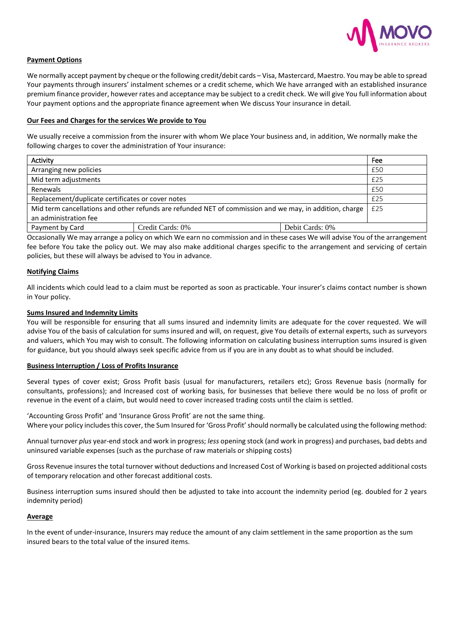

# **Payment Options**

We normally accept payment by cheque or the following credit/debit cards – Visa, Mastercard, Maestro. You may be able to spread Your payments through insurers' instalment schemes or a credit scheme, which We have arranged with an established insurance premium finance provider, however rates and acceptance may be subject to a credit check. We will give You full information about Your payment options and the appropriate finance agreement when We discuss Your insurance in detail*.*

### **Our Fees and Charges for the services We provide to You**

We usually receive a commission from the insurer with whom We place Your business and, in addition, We normally make the following charges to cover the administration of Your insurance:

| Activity                                                                                                                         |                  |                 | Fee |
|----------------------------------------------------------------------------------------------------------------------------------|------------------|-----------------|-----|
| Arranging new policies                                                                                                           |                  |                 | £50 |
| Mid term adjustments                                                                                                             |                  |                 | £25 |
| Renewals                                                                                                                         |                  |                 | £50 |
| Replacement/duplicate certificates or cover notes                                                                                |                  |                 | £25 |
| Mid term cancellations and other refunds are refunded NET of commission and we may, in addition, charge<br>an administration fee |                  |                 | £25 |
| Payment by Card                                                                                                                  | Credit Cards: 0% | Debit Cards: 0% |     |

Occasionally We may arrange a policy on which We earn no commission and in these cases We will advise You of the arrangement fee before You take the policy out. We may also make additional charges specific to the arrangement and servicing of certain policies, but these will always be advised to You in advance.

# **Notifying Claims**

All incidents which could lead to a claim must be reported as soon as practicable. Your insurer's claims contact number is shown in Your policy.

# **Sums Insured and Indemnity Limits**

You will be responsible for ensuring that all sums insured and indemnity limits are adequate for the cover requested. We will advise You of the basis of calculation for sums insured and will, on request, give You details of external experts, such as surveyors and valuers, which You may wish to consult. The following information on calculating business interruption sums insured is given for guidance, but you should always seek specific advice from us if you are in any doubt as to what should be included.

# **Business Interruption / Loss of Profits Insurance**

Several types of cover exist; Gross Profit basis (usual for manufacturers, retailers etc); Gross Revenue basis (normally for consultants, professions); and Increased cost of working basis, for businesses that believe there would be no loss of profit or revenue in the event of a claim, but would need to cover increased trading costs until the claim is settled.

'Accounting Gross Profit' and 'Insurance Gross Profit' are not the same thing. Where your policy includes this cover, the Sum Insured for 'Gross Profit' should normally be calculated using the following method:

Annual turnover *plus* year-end stock and work in progress; *less* opening stock (and work in progress) and purchases, bad debts and uninsured variable expenses (such as the purchase of raw materials or shipping costs)

Gross Revenue insures the total turnover without deductions and Increased Cost of Working is based on projected additional costs of temporary relocation and other forecast additional costs.

Business interruption sums insured should then be adjusted to take into account the indemnity period (eg. doubled for 2 years indemnity period)

#### **Average**

In the event of under-insurance, Insurers may reduce the amount of any claim settlement in the same proportion as the sum insured bears to the total value of the insured items.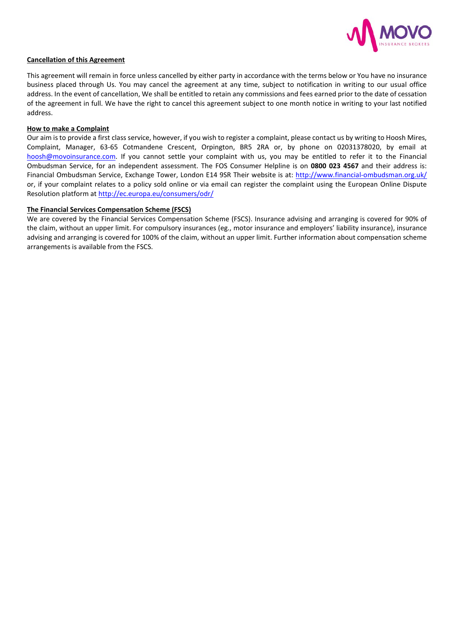

### **Cancellation of this Agreement**

This agreement will remain in force unless cancelled by either party in accordance with the terms below or You have no insurance business placed through Us. You may cancel the agreement at any time, subject to notification in writing to our usual office address. In the event of cancellation, We shall be entitled to retain any commissions and fees earned prior to the date of cessation of the agreement in full. We have the right to cancel this agreement subject to one month notice in writing to your last notified address.

#### **How to make a Complaint**

Our aim is to provide a first class service, however, if you wish to register a complaint, please contact us by writing to Hoosh Mires, Complaint, Manager, 63-65 Cotmandene Crescent, Orpington, BR5 2RA or, by phone on 02031378020, by email at [hoosh@movoinsurance.com.](mailto:hoosh@movoinsurance.com) If you cannot settle your complaint with us, you may be entitled to refer it to the Financial Ombudsman Service, for an independent assessment. The FOS Consumer Helpline is on **0800 023 4567** and their address is: Financial Ombudsman Service, Exchange Tower, London E14 9SR Their website is at:<http://www.financial-ombudsman.org.uk/> or, if your complaint relates to a policy sold online or via email can register the complaint using the European Online Dispute Resolution platform at<http://ec.europa.eu/consumers/odr/>

### **The Financial Services Compensation Scheme (FSCS)**

We are covered by the Financial Services Compensation Scheme (FSCS). Insurance advising and arranging is covered for 90% of the claim, without an upper limit. For compulsory insurances (eg., motor insurance and employers' liability insurance), insurance advising and arranging is covered for 100% of the claim, without an upper limit. Further information about compensation scheme arrangements is available from the FSCS.